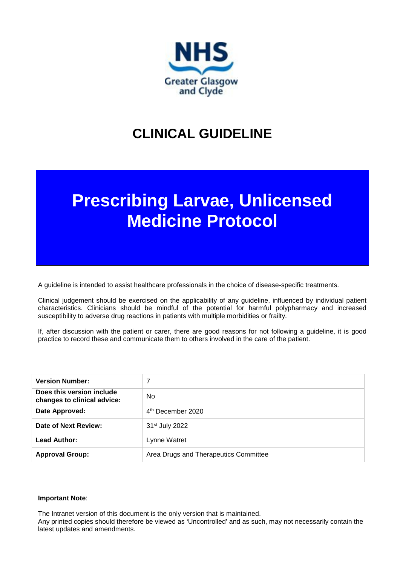

## **CLINICAL GUIDELINE**

# **Prescribing Larvae, Unlicensed Medicine Protocol**

A guideline is intended to assist healthcare professionals in the choice of disease-specific treatments.

Clinical judgement should be exercised on the applicability of any guideline, influenced by individual patient characteristics. Clinicians should be mindful of the potential for harmful polypharmacy and increased susceptibility to adverse drug reactions in patients with multiple morbidities or frailty.

If, after discussion with the patient or carer, there are good reasons for not following a guideline, it is good practice to record these and communicate them to others involved in the care of the patient.

| <b>Version Number:</b>                                   |                                       |
|----------------------------------------------------------|---------------------------------------|
| Does this version include<br>changes to clinical advice: | No.                                   |
| Date Approved:                                           | 4 <sup>th</sup> December 2020         |
| Date of Next Review:                                     | 31 <sup>st</sup> July 2022            |
| Lead Author:                                             | Lynne Watret                          |
| <b>Approval Group:</b>                                   | Area Drugs and Therapeutics Committee |

#### **Important Note**:

The Intranet version of this document is the only version that is maintained.

Any printed copies should therefore be viewed as 'Uncontrolled' and as such, may not necessarily contain the latest updates and amendments.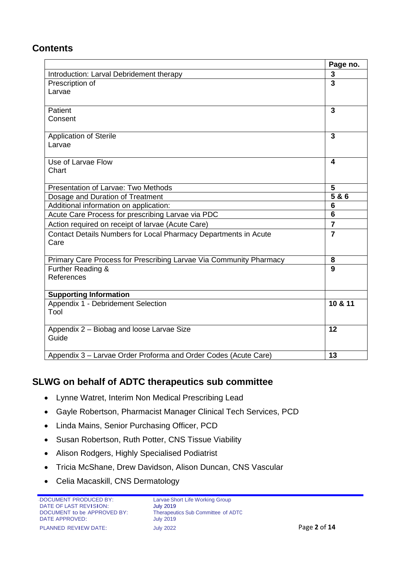## **Contents**

|                                                                    | Page no.                |
|--------------------------------------------------------------------|-------------------------|
| Introduction: Larval Debridement therapy                           | 3                       |
| Prescription of                                                    | $\overline{\mathbf{3}}$ |
| Larvae                                                             |                         |
|                                                                    |                         |
| Patient                                                            | $\overline{3}$          |
| Consent                                                            |                         |
|                                                                    |                         |
| <b>Application of Sterile</b>                                      | $\overline{3}$          |
| Larvae                                                             |                         |
| Use of Larvae Flow                                                 | $\boldsymbol{4}$        |
| Chart                                                              |                         |
|                                                                    |                         |
| Presentation of Larvae: Two Methods                                | 5                       |
| Dosage and Duration of Treatment                                   | $\overline{586}$        |
| Additional information on application:                             | $6\phantom{1}6$         |
| Acute Care Process for prescribing Larvae via PDC                  | $6\phantom{1}6$         |
| Action required on receipt of larvae (Acute Care)                  | $\overline{7}$          |
| Contact Details Numbers for Local Pharmacy Departments in Acute    | $\overline{7}$          |
| Care                                                               |                         |
|                                                                    |                         |
| Primary Care Process for Prescribing Larvae Via Community Pharmacy | 8<br>9                  |
| Further Reading &<br>References                                    |                         |
|                                                                    |                         |
| <b>Supporting Information</b>                                      |                         |
| Appendix 1 - Debridement Selection                                 | 10 & 11                 |
| Tool                                                               |                         |
| Appendix 2 - Biobag and loose Larvae Size                          | 12                      |
| Guide                                                              |                         |
|                                                                    |                         |
| Appendix 3 - Larvae Order Proforma and Order Codes (Acute Care)    | 13                      |

## **SLWG on behalf of ADTC therapeutics sub committee**

- Lynne Watret, Interim Non Medical Prescribing Lead
- Gayle Robertson, Pharmacist Manager Clinical Tech Services, PCD
- Linda Mains, Senior Purchasing Officer, PCD
- Susan Robertson, Ruth Potter, CNS Tissue Viability
- Alison Rodgers, Highly Specialised Podiatrist
- Tricia McShane, Drew Davidson, Alison Duncan, CNS Vascular
- Celia Macaskill, CNS Dermatology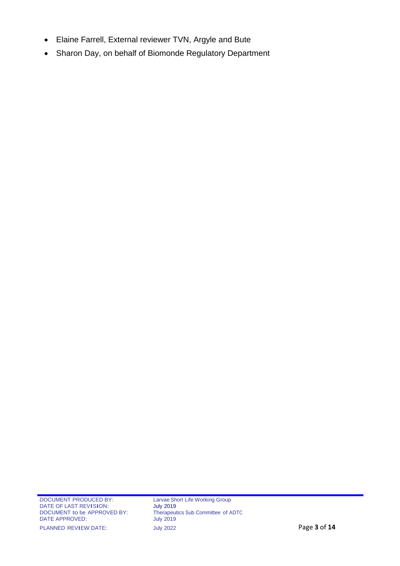- Elaine Farrell, External reviewer TVN, Argyle and Bute
- Sharon Day, on behalf of Biomonde Regulatory Department

Therapeutics Sub Committee of ADTC<br>July 2019 PLANNED REVIEW DATE: July 2022 July 2022 Page 3 of 14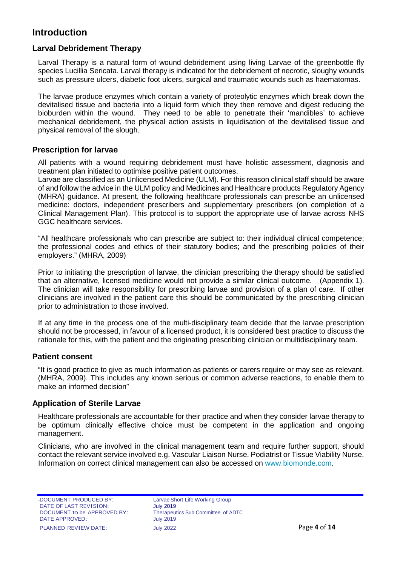## **Introduction**

#### **Larval Debridement Therapy**

Larval Therapy is a natural form of wound debridement using living Larvae of the greenbottle fly species Lucillia Sericata. Larval therapy is indicated for the debridement of necrotic, sloughy wounds such as pressure ulcers, diabetic foot ulcers, surgical and traumatic wounds such as haematomas.

The larvae produce enzymes which contain a variety of proteolytic enzymes which break down the devitalised tissue and bacteria into a liquid form which they then remove and digest reducing the bioburden within the wound. They need to be able to penetrate their 'mandibles' to achieve mechanical debridement, the physical action assists in liquidisation of the devitalised tissue and physical removal of the slough.

#### **Prescription for larvae**

All patients with a wound requiring debridement must have holistic assessment, diagnosis and treatment plan initiated to optimise positive patient outcomes.

Larvae are classified as an Unlicensed Medicine (ULM). For this reason clinical staff should be aware of and follow the advice in the ULM policy and Medicines and Healthcare products Regulatory Agency (MHRA) guidance. At present, the following healthcare professionals can prescribe an unlicensed medicine: doctors, independent prescribers and supplementary prescribers (on completion of a Clinical Management Plan). This protocol is to support the appropriate use of larvae across NHS GGC healthcare services.

"All healthcare professionals who can prescribe are subject to: their individual clinical competence; the professional codes and ethics of their statutory bodies; and the prescribing policies of their employers." (MHRA, 2009)

Prior to initiating the prescription of larvae, the clinician prescribing the therapy should be satisfied that an alternative, licensed medicine would not provide a similar clinical outcome. (Appendix 1). The clinician will take responsibility for prescribing larvae and provision of a plan of care. If other clinicians are involved in the patient care this should be communicated by the prescribing clinician prior to administration to those involved.

If at any time in the process one of the multi-disciplinary team decide that the larvae prescription should not be processed, in favour of a licensed product, it is considered best practice to discuss the rationale for this, with the patient and the originating prescribing clinician or multidisciplinary team.

#### **Patient consent**

"It is good practice to give as much information as patients or carers require or may see as relevant. (MHRA, 2009). This includes any known serious or common adverse reactions, to enable them to make an informed decision"

#### **Application of Sterile Larvae**

Healthcare professionals are accountable for their practice and when they consider larvae therapy to be optimum clinically effective choice must be competent in the application and ongoing management.

Clinicians, who are involved in the clinical management team and require further support, should contact the relevant service involved e.g. Vascular Liaison Nurse, Podiatrist or Tissue Viability Nurse. Information on correct clinical management can also be accessed on [www.biomonde.com.](http://www.biomonde.com/)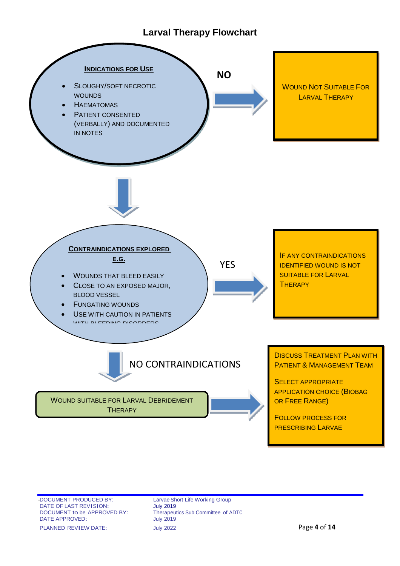## **Larval Therapy Flowchart**



e 5 of 11DOCUMENT PRODUCED BY:<br>
DATE OF LAST REVISION: UNIV 2019 DATE OF LAST REVISION:<br>DOCUMENT to be APPROVED BY: DATE APPROVED:

Therapeutics Sub Committee of ADTC<br>July 2019 PLANNED REVIEW DATE: July <sup>2022</sup> Page **4** of **14**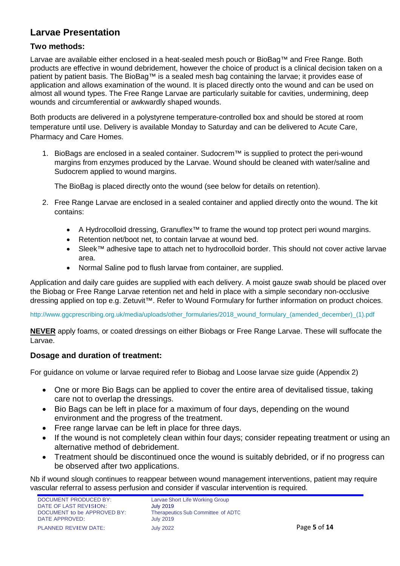## **Larvae Presentation**

#### **Two methods:**

Larvae are available either enclosed in a heat-sealed mesh pouch or BioBag™ and Free Range. Both products are effective in wound debridement, however the choice of product is a clinical decision taken on a patient by patient basis. The BioBag™ is a sealed mesh bag containing the larvae; it provides ease of application and allows examination of the wound. It is placed directly onto the wound and can be used on almost all wound types. The Free Range Larvae are particularly suitable for cavities, undermining, deep wounds and circumferential or awkwardly shaped wounds.

Both products are delivered in a polystyrene temperature-controlled box and should be stored at room temperature until use. Delivery is available Monday to Saturday and can be delivered to Acute Care, Pharmacy and Care Homes.

1. BioBags are enclosed in a sealed container. Sudocrem™ is supplied to protect the peri-wound margins from enzymes produced by the Larvae. Wound should be cleaned with water/saline and Sudocrem applied to wound margins.

The BioBag is placed directly onto the wound (see below for details on retention).

- 2. Free Range Larvae are enclosed in a sealed container and applied directly onto the wound. The kit contains:
	- A Hydrocolloid dressing, Granuflex™ to frame the wound top protect peri wound margins.
	- Retention net/boot net, to contain larvae at wound bed.
	- Sleek™ adhesive tape to attach net to hydrocolloid border. This should not cover active larvae area.
	- Normal Saline pod to flush larvae from container, are supplied.

Application and daily care guides are supplied with each delivery. A moist gauze swab should be placed over the Biobag or Free Range Larvae retention net and held in place with a simple secondary non-occlusive dressing applied on top e.g. Zetuvit™. Refer to Wound Formulary for further information on product choices.

[http://www.ggcprescribing.org.uk/media/uploads/other\\_formularies/2018\\_wound\\_formulary\\_\(amended\\_december\)\\_\(1\).pdf](http://www.ggcprescribing.org.uk/media/uploads/other_formularies/2018_wound_formulary_(amended_december)_(1).pdf)

**NEVER** apply foams, or coated dressings on either Biobags or Free Range Larvae. These will suffocate the Larvae.

#### **Dosage and duration of treatment:**

For guidance on volume or larvae required refer to Biobag and Loose larvae size guide (Appendix 2)

- One or more Bio Bags can be applied to cover the entire area of devitalised tissue, taking care not to overlap the dressings.
- Bio Bags can be left in place for a maximum of four days, depending on the wound environment and the progress of the treatment.
- Free range larvae can be left in place for three days.
- If the wound is not completely clean within four days; consider repeating treatment or using an alternative method of debridement.
- Treatment should be discontinued once the wound is suitably debrided, or if no progress can be observed after two applications.

Nb if wound slough continues to reappear between wound management interventions, patient may require vascular referral to assess perfusion and consider if vascular intervention is required.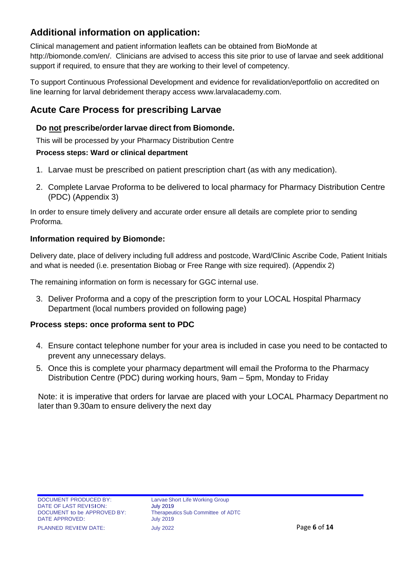## **Additional information on application:**

Clinical management and patient information leaflets can be obtained from BioMonde at [http://biomonde.com/en/.](http://biomonde.com/en/) Clinicians are advised to access this site prior to use of larvae and seek additional support if required, to ensure that they are working to their level of competency.

To support Continuous Professional Development and evidence for revalidation/eportfolio on accredited on line learning for larval debridement therapy access [www.larvalacademy.com.](http://www.larvalacademy.com/)

## **Acute Care Process for prescribing Larvae**

#### **Do not prescribe/order larvae direct from Biomonde.**

This will be processed by your Pharmacy Distribution Centre

#### **Process steps: Ward or clinical department**

- 1. Larvae must be prescribed on patient prescription chart (as with any medication).
- 2. Complete Larvae Proforma to be delivered to local pharmacy for Pharmacy Distribution Centre (PDC) (Appendix 3)

In order to ensure timely delivery and accurate order ensure all details are complete prior to sending Proforma.

#### **Information required by Biomonde:**

Delivery date, place of delivery including full address and postcode, Ward/Clinic Ascribe Code, Patient Initials and what is needed (i.e. presentation Biobag or Free Range with size required). (Appendix 2)

The remaining information on form is necessary for GGC internal use.

3. Deliver Proforma and a copy of the prescription form to your LOCAL Hospital Pharmacy Department (local numbers provided on following page)

#### **Process steps: once proforma sent to PDC**

- 4. Ensure contact telephone number for your area is included in case you need to be contacted to prevent any unnecessary delays.
- 5. Once this is complete your pharmacy department will email the Proforma to the Pharmacy Distribution Centre (PDC) during working hours, 9am – 5pm, Monday to Friday

Note: it is imperative that orders for larvae are placed with your LOCAL Pharmacy Department no later than 9.30am to ensure delivery the next day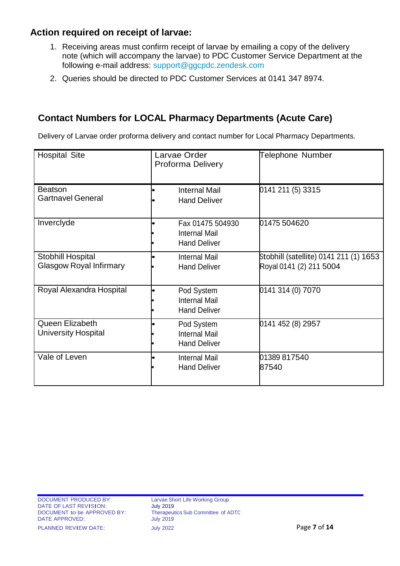## **Action required on receipt of larvae:**

- 1. Receiving areas must confirm receipt of larvae by emailing a copy of the delivery note (which will accompany the larvae) to PDC Customer Service Department at the following e-mail address: [support@ggcpdc.zendesk.com](mailto:support@ggcpdc.zendesk.com)
- 2. Queries should be directed to PDC Customer Services at 0141 347 8974.

## **Contact Numbers for LOCAL Pharmacy Departments (Acute Care)**

Delivery of Larvae order proforma delivery and contact number for Local Pharmacy Departments.

| <b>Hospital Site</b>                                | Larvae Order<br>Proforma Delivery                               | Telephone Number                                                  |
|-----------------------------------------------------|-----------------------------------------------------------------|-------------------------------------------------------------------|
| <b>Beatson</b><br><b>Gartnavel General</b>          | <b>Internal Mail</b><br><b>Hand Deliver</b>                     | 0141 211 (5) 3315                                                 |
| Inverclyde                                          | Fax 01475 504930<br><b>Internal Mail</b><br><b>Hand Deliver</b> | 01475 504620                                                      |
| Stobhill Hospital<br><b>Glasgow Royal Infirmary</b> | <b>Internal Mail</b><br><b>Hand Deliver</b>                     | Stobhill (satellite) 0141 211 (1) 1653<br>Royal 0141 (2) 211 5004 |
| Royal Alexandra Hospital                            | Pod System<br><b>Internal Mail</b><br><b>Hand Deliver</b>       | 0141 314 (0) 7070                                                 |
| Queen Elizabeth<br><b>University Hospital</b>       | Pod System<br><b>Internal Mail</b><br><b>Hand Deliver</b>       | 0141 452 (8) 2957                                                 |
| Vale of Leven                                       | <b>Internal Mail</b><br><b>Hand Deliver</b>                     | 01389 817540<br>87540                                             |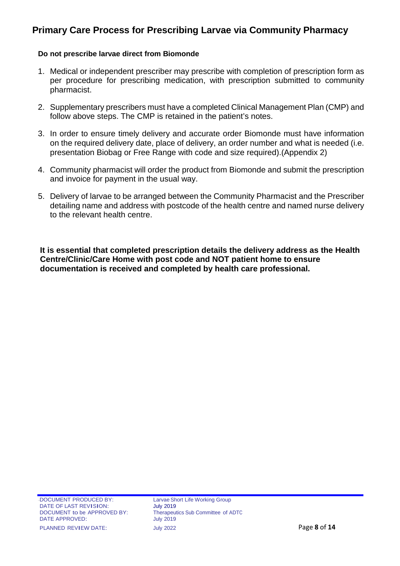## **Primary Care Process for Prescribing Larvae via Community Pharmacy**

#### **Do not prescribe larvae direct from Biomonde**

- 1. Medical or independent prescriber may prescribe with completion of prescription form as per procedure for prescribing medication, with prescription submitted to community pharmacist.
- 2. Supplementary prescribers must have a completed Clinical Management Plan (CMP) and follow above steps. The CMP is retained in the patient's notes.
- 3. In order to ensure timely delivery and accurate order Biomonde must have information on the required delivery date, place of delivery, an order number and what is needed (i.e. presentation Biobag or Free Range with code and size required).(Appendix 2)
- 4. Community pharmacist will order the product from Biomonde and submit the prescription and invoice for payment in the usual way.
- 5. Delivery of larvae to be arranged between the Community Pharmacist and the Prescriber detailing name and address with postcode of the health centre and named nurse delivery to the relevant health centre.

**It is essential that completed prescription details the delivery address as the Health Centre/Clinic/Care Home with post code and NOT patient home to ensure documentation is received and completed by health care professional.**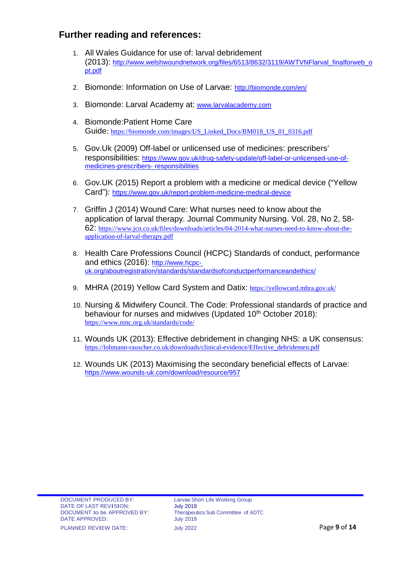## **Further reading and references:**

- 1. All Wales Guidance for use of: larval debridement (2013): [http://www.welshwoundnetwork.org/files/6513/8632/3119/AWTVNFlarval\\_finalforweb\\_o](http://www.welshwoundnetwork.org/files/6513/8632/3119/AWTVNFlarval_finalforweb_opt.pdf) [pt.pdf](http://www.welshwoundnetwork.org/files/6513/8632/3119/AWTVNFlarval_finalforweb_opt.pdf)
- 2. Biomonde: Information on Use of Larvae:<http://biomonde.com/en/>
- 3. Biomonde: Larval Academy at: [www.larvalacademy.com](http://www.larvalacademy.com/)
- 4. Biomonde:Patient Home Care Guide: [https://biomonde.com/images/US\\_Linked\\_Docs/BM018\\_US\\_01\\_0316.pdf](https://biomonde.com/images/US_Linked_Docs/BM018_US_01_0316.pdf)
- 5. Gov.Uk (2009) Off-label or unlicensed use of medicines: prescribers' responsibilities: https:/[/www.gov.uk/drug-safety-update/off-label-or-unlicensed-use-of](http://www.gov.uk/drug-safety-update/off-label-or-unlicensed-use-of-medicines-prescribers-)[medicines-prescribers-](http://www.gov.uk/drug-safety-update/off-label-or-unlicensed-use-of-medicines-prescribers-) responsibilities
- 6. Gov.UK (2015) Report a problem with a medicine or medical device ("Yellow Card"): https:/[/www.gov.uk/report-problem-medicine-medical-device](http://www.gov.uk/report-problem-medicine-medical-device)
- 7. Griffin J (2014) Wound Care: What nurses need to know about the application of larval therapy. Journal Community Nursing. Vol. 28, No 2, 58- 62: [https://www.jcn.co.uk/files/downloads/articles/04-2014-what-nurses-need-to-know-about-the](https://www.jcn.co.uk/files/downloads/articles/04-2014-what-nurses-need-to-know-about-the-application-of-larval-therapy.pdf)[application-of-larval-therapy.pdf](https://www.jcn.co.uk/files/downloads/articles/04-2014-what-nurses-need-to-know-about-the-application-of-larval-therapy.pdf)
- 8. Health Care Professions Council (HCPC) Standards of conduct, performance and ethics (2016): http://www.hcpcuk.org/aboutregistration/standards/standardsofconductperformanceandethics/
- 9. MHRA (2019) Yellow Card System and Datix: <https://yellowcard.mhra.gov.uk/>
- 10. Nursing & Midwifery Council. The Code: Professional standards of practice and behaviour for nurses and midwives (Updated 10<sup>th</sup> October 2018): <https://www.nmc.org.uk/standards/code/>
- 11. Wounds UK (2013): Effective debridement in changing NHS: a UK consensus: [https://lohmann-rauscher.co.uk/downloads/clinical-evidence/Effective\\_debridemen.pdf](https://lohmann-rauscher.co.uk/downloads/clinical-evidence/Effective_debridemen.pdf)
- 12. Wounds UK (2013) Maximising the secondary beneficial effects of Larvae: <https://www.wounds-uk.com/download/resource/957>

EXECUMENT PRODUCED BY:<br>
DATE OF LAST REVISION: University 2019 DATE OF LAST REVISION: July 2019<br>DOCUMENT to be APPROVED BY: Therapeutics Sub Committee of ADTC DOCUMENT to be APPROVED BY: Therapeut<br>DATE APPROVED: July 2019 DATE APPROVED:

PLANNED REVIEW DATE: July <sup>2022</sup> Page **9** of **14**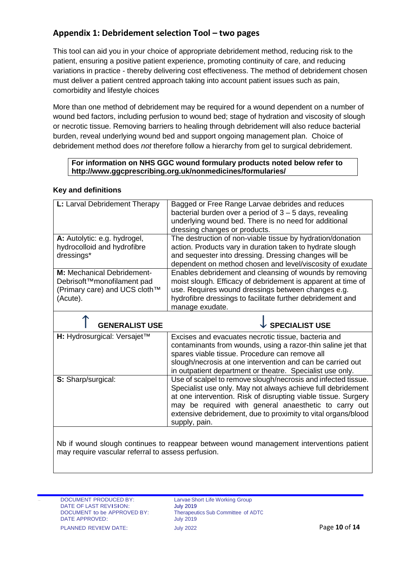#### **Appendix 1: Debridement selection Tool – two pages**

This tool can aid you in your choice of appropriate debridement method, reducing risk to the patient, ensuring a positive patient experience, promoting continuity of care, and reducing variations in practice - thereby delivering cost effectiveness. The method of debridement chosen must deliver a patient centred approach taking into account patient issues such as pain, comorbidity and lifestyle choices

More than one method of debridement may be required for a wound dependent on a number of wound bed factors, including perfusion to wound bed; stage of hydration and viscosity of slough or necrotic tissue. Removing barriers to healing through debridement will also reduce bacterial burden, reveal underlying wound bed and support ongoing management plan. Choice of debridement method does *not* therefore follow a hierarchy from gel to surgical debridement.

#### **For information on NHS GGC wound formulary products noted below refer to http://www.ggcprescribing.org.uk/nonmedicines/formularies/**

#### **Key and definitions**

| L: Larval Debridement Therapy     | Bagged or Free Range Larvae debrides and reduces<br>bacterial burden over a period of $3 - 5$ days, revealing<br>underlying wound bed. There is no need for additional<br>dressing changes or products.                                                                                                                                                                                                 |
|-----------------------------------|---------------------------------------------------------------------------------------------------------------------------------------------------------------------------------------------------------------------------------------------------------------------------------------------------------------------------------------------------------------------------------------------------------|
| A: Autolytic: e.g. hydrogel,      | The destruction of non-viable tissue by hydration/donation                                                                                                                                                                                                                                                                                                                                              |
| hydrocolloid and hydrofibre       | action. Products vary in duration taken to hydrate slough                                                                                                                                                                                                                                                                                                                                               |
| dressings*                        | and sequester into dressing. Dressing changes will be                                                                                                                                                                                                                                                                                                                                                   |
|                                   | dependent on method chosen and level/viscosity of exudate                                                                                                                                                                                                                                                                                                                                               |
| <b>M:</b> Mechanical Debridement- | Enables debridement and cleansing of wounds by removing                                                                                                                                                                                                                                                                                                                                                 |
| Debrisoft™monofilament pad        | moist slough. Efficacy of debridement is apparent at time of                                                                                                                                                                                                                                                                                                                                            |
| (Primary care) and UCS cloth™     | use. Requires wound dressings between changes e.g.                                                                                                                                                                                                                                                                                                                                                      |
| (Acute).                          | hydrofibre dressings to facilitate further debridement and<br>manage exudate.                                                                                                                                                                                                                                                                                                                           |
|                                   |                                                                                                                                                                                                                                                                                                                                                                                                         |
| <b>GENERALIST USE</b>             | <b>SPECIALIST USE</b>                                                                                                                                                                                                                                                                                                                                                                                   |
|                                   |                                                                                                                                                                                                                                                                                                                                                                                                         |
| H: Hydrosurgical: Versajet™       | Excises and evacuates necrotic tissue, bacteria and<br>contaminants from wounds, using a razor-thin saline jet that<br>spares viable tissue. Procedure can remove all<br>slough/necrosis at one intervention and can be carried out                                                                                                                                                                     |
| S: Sharp/surgical:                | in outpatient department or theatre. Specialist use only.<br>Use of scalpel to remove slough/necrosis and infected tissue.<br>Specialist use only. May not always achieve full debridement<br>at one intervention. Risk of disrupting viable tissue. Surgery<br>may be required with general anaesthetic to carry out<br>extensive debridement, due to proximity to vital organs/blood<br>supply, pain. |

Therapeutics Sub Committee of ADTC<br>July 2019 PLANNED REVIEW DATE: July <sup>2022</sup> Page **10** of **14**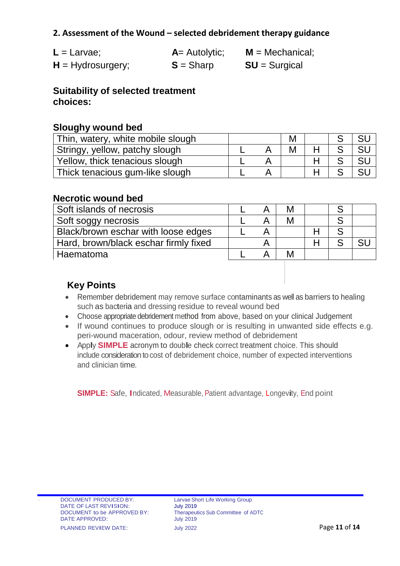### **2. Assessment of the Wound – selected debridement therapy guidance**

| $L =$ Larvae;       | $A =$ Autolytic; | $M = \text{Mechanical}$ ; |
|---------------------|------------------|---------------------------|
| $H = Hydrosurgery;$ | $S =$ Sharp      | $SU =$ Surgical           |

**Suitability of selected treatment choices:**

#### **Sloughy wound bed**

| Thin, watery, white mobile slough |  | M |  |  |
|-----------------------------------|--|---|--|--|
| Stringy, yellow, patchy slough    |  |   |  |  |
| Yellow, thick tenacious slough    |  |   |  |  |
| Thick tenacious gum-like slough   |  |   |  |  |

#### **Necrotic wound bed**

| Soft islands of necrosis              |  |   |  |  |
|---------------------------------------|--|---|--|--|
| Soft soggy necrosis                   |  | M |  |  |
| Black/brown eschar with loose edges   |  |   |  |  |
| Hard, brown/black eschar firmly fixed |  |   |  |  |
| Haematoma                             |  |   |  |  |

## **Key Points**

- Remember debridement may remove surface contaminants as well as barriers to healing such as bacteria and dressing residue to reveal wound bed
- Choose appropriate debridement method from above, based on your clinical Judgement
- If wound continues to produce slough or is resulting in unwanted side effects e.g. peri-wound maceration, odour, review method of debridement
- Apply **SIMPLE** acronym to double check correct treatment choice. This should include consideration to cost of debridement choice, number of expected interventions and clinician time.

**SIMPLE:** Safe, Indicated, Measurable, Patient advantage, Longevity, End point

EXECUMENT PRODUCED BY:<br>
DATE OF LAST REVISION: University 2019 DATE OF LAST REVISION: July 2019<br>DOCUMENT to be APPROVED BY: Therapeutics Sub Committee of ADTC DOCUMENT to be APPROVED BY: Therapeut<br>DATE APPROVED: July 2019 DATE APPROVED: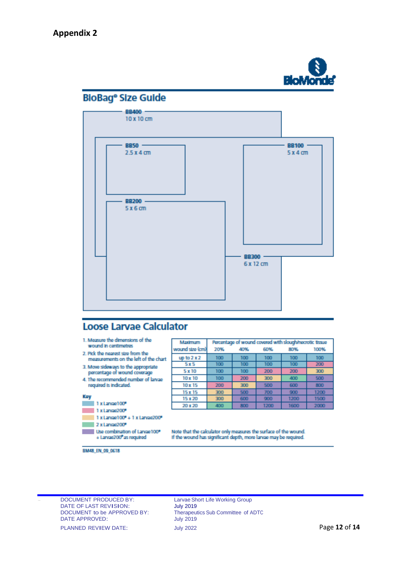

## **BloBag**<sup>e</sup> Size Guide



## **Loose Larvae Calculator**

| 1. Measure the dimensions of the<br>wound in contimetres                   | Maximum         | Percentage of wound covered with slough/necrotic tissue |     |      |      |      |  |
|----------------------------------------------------------------------------|-----------------|---------------------------------------------------------|-----|------|------|------|--|
|                                                                            | wound stre (cm) | 20%                                                     | 40% | 60%  | 80%  | 100% |  |
| 2. Pick the nearest size from the<br>measurements on the left of the chart | up to $2x2$     | 100                                                     | 100 | 100  | 100  | 100  |  |
| 3. Move sideways to the appropriate                                        | <b>5x5</b>      | 100                                                     | 100 | 100  | 100  | 200  |  |
| percentage of wound coverage                                               | 5 x 10          | 100                                                     | 100 | 200  | 200  | 300  |  |
| 4. The recommended number of larvae                                        | 10 x 10         | 100                                                     | 200 | 300  | 400  | 500  |  |
| required is indicated.                                                     | 10 x 15         | 200                                                     | 300 | 500  | 600  | 800  |  |
|                                                                            | 15x15           | 300                                                     | 500 | 700  | 900  | 1200 |  |
| Key                                                                        | 15 x 20         | 300                                                     | 600 | 900  | 1200 | 1500 |  |
| 1 x Larvae 100*                                                            | 20 x 20         | 400                                                     | 800 | 1200 | 1600 | 2000 |  |
| 1 x Larvae200*                                                             |                 |                                                         |     |      |      |      |  |
| $1$ x Larvae $100^{\circ}$ + $1$ x Larvae $200^{\circ}$                    |                 |                                                         |     |      |      |      |  |

 $2x$  Larvae  $200^{\circ}$ 

Use combination of Larvae100\*<br>+ Larvae200\*as required

Note that the calculator only measures the surface of the wound.<br>If the wound has significant depth, more larvae may be required.

BM48\_EN\_09\_0618

EXECUMENT PRODUCED BY:<br>
DATE OF LAST REVISION: July 2019<br>
July 2019 DATE OF LAST REVISION:<br>DOCUMENT to be APPROVED BY: DATE APPROVED:

Therapeutics Sub Committee of ADTC<br>July 2019 PLANNED REVIEW DATE: July 2022 July 2022 Page 12 of 14